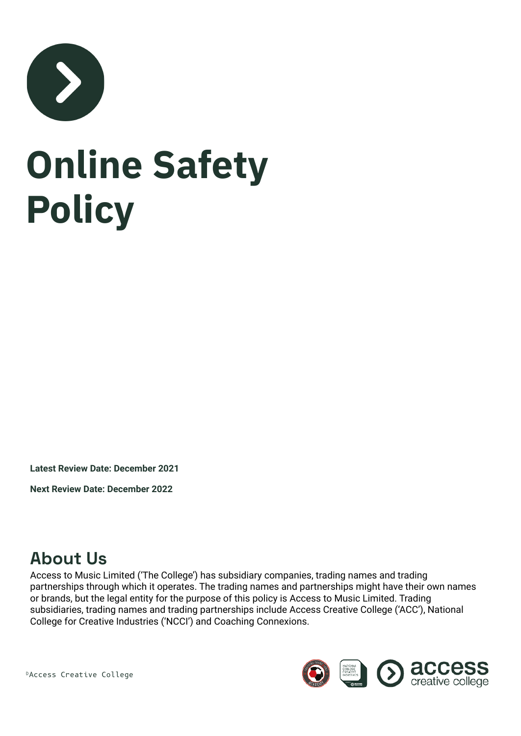

# **Online Safety Policy**

**Latest Review Date: December 2021**

**Next Review Date: December 2022**

### **About Us**

Access to Music Limited ('The College') has subsidiary companies, trading names and trading partnerships through which it operates. The trading names and partnerships might have their own names or brands, but the legal entity for the purpose of this policy is Access to Music Limited. Trading subsidiaries, trading names and trading partnerships include Access Creative College ('ACC'), National College for Creative Industries ('NCCI') and Coaching Connexions.

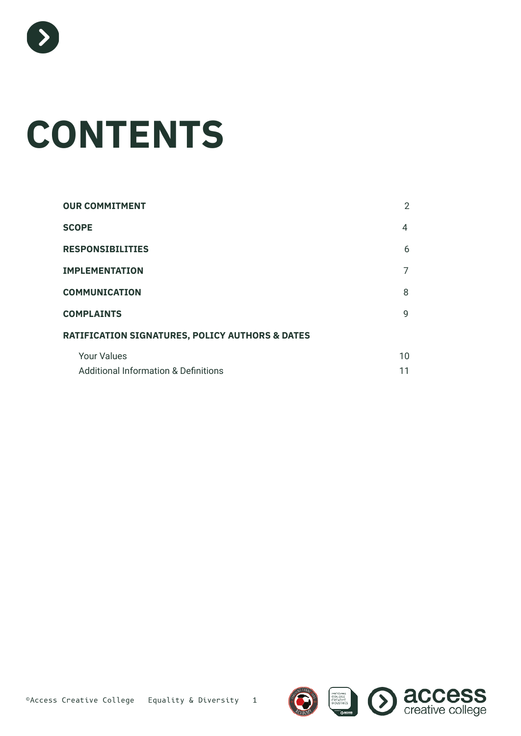

# **CONTENTS**

| <b>OUR COMMITMENT</b>                                      | $\overline{2}$ |
|------------------------------------------------------------|----------------|
| <b>SCOPE</b>                                               | 4              |
| <b>RESPONSIBILITIES</b>                                    | 6              |
| <b>IMPLEMENTATION</b>                                      | 7              |
| <b>COMMUNICATION</b>                                       | 8              |
| <b>COMPLAINTS</b>                                          | 9              |
| <b>RATIFICATION SIGNATURES, POLICY AUTHORS &amp; DATES</b> |                |
| <b>Your Values</b>                                         | 10             |
| <b>Additional Information &amp; Definitions</b>            | 11             |

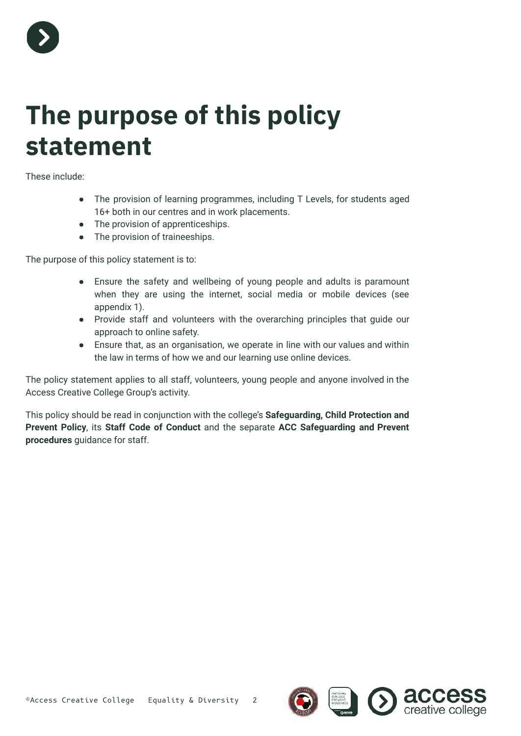

### **The purpose of this policy statement**

These include:

- The provision of learning programmes, including T Levels, for students aged 16+ both in our centres and in work placements.
- The provision of apprenticeships.
- The provision of traineeships.

The purpose of this policy statement is to:

- Ensure the safety and wellbeing of young people and adults is paramount when they are using the internet, social media or mobile devices (see appendix 1).
- Provide staff and volunteers with the overarching principles that guide our approach to online safety.
- Ensure that, as an organisation, we operate in line with our values and within the law in terms of how we and our learning use online devices.

The policy statement applies to all staff, volunteers, young people and anyone involved in the Access Creative College Group's activity.

This policy should be read in conjunction with the college's **Safeguarding, Child Protection and Prevent Policy**, its **Staff Code of Conduct** and the separate **ACC Safeguarding and Prevent procedures** guidance for staff.

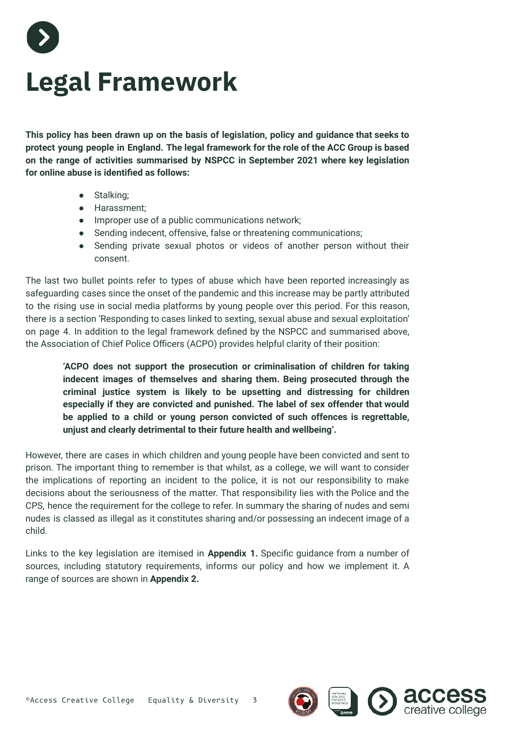

### **Legal Framework**

**This policy has been drawn up on the basis of legislation, policy and guidance that seeks to protect young people in England. The legal framework for the role of the ACC Group is based on the range of activities summarised by NSPCC in September 2021 where key legislation for online abuse is identified as follows:**

- Stalking;
- Harassment;
- Improper use of a public communications network;
- Sending indecent, offensive, false or threatening communications;
- Sending private sexual photos or videos of another person without their consent.

The last two bullet points refer to types of abuse which have been reported increasingly as safeguarding cases since the onset of the pandemic and this increase may be partly attributed to the rising use in social media platforms by young people over this period. For this reason, there is a section 'Responding to cases linked to sexting, sexual abuse and sexual exploitation' on page 4. In addition to the legal framework defined by the NSPCC and summarised above, the Association of Chief Police Officers (ACPO) provides helpful clarity of their position:

**'ACPO does not support the prosecution or criminalisation of children for taking indecent images of themselves and sharing them. Being prosecuted through the criminal justice system is likely to be upsetting and distressing for children especially if they are convicted and punished. The label of sex offender that would be applied to a child or young person convicted of such offences is regrettable, unjust and clearly detrimental to their future health and wellbeing'.**

However, there are cases in which children and young people have been convicted and sent to prison. The important thing to remember is that whilst, as a college, we will want to consider the implications of reporting an incident to the police, it is not our responsibility to make decisions about the seriousness of the matter. That responsibility lies with the Police and the CPS, hence the requirement for the college to refer. In summary the sharing of nudes and semi nudes is classed as illegal as it constitutes sharing and/or possessing an indecent image of a child.

Links to the key legislation are itemised in **Appendix 1.** Specific guidance from a number of sources, including statutory requirements, informs our policy and how we implement it. A range of sources are shown in **Appendix 2.**

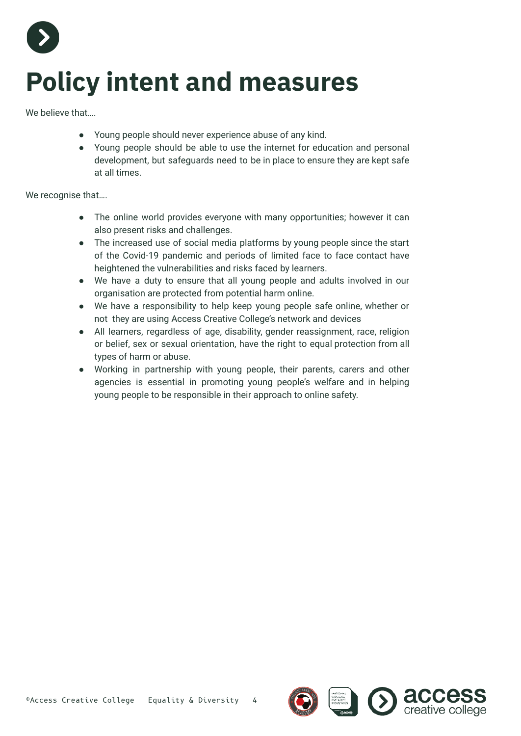

# **Policy intent and measures**

We believe that...

- Young people should never experience abuse of any kind.
- Young people should be able to use the internet for education and personal development, but safeguards need to be in place to ensure they are kept safe at all times.

We recognise that….

- The online world provides everyone with many opportunities; however it can also present risks and challenges.
- The increased use of social media platforms by young people since the start of the Covid-19 pandemic and periods of limited face to face contact have heightened the vulnerabilities and risks faced by learners.
- We have a duty to ensure that all young people and adults involved in our organisation are protected from potential harm online.
- We have a responsibility to help keep young people safe online, whether or not they are using Access Creative College's network and devices
- All learners, regardless of age, disability, gender reassignment, race, religion or belief, sex or sexual orientation, have the right to equal protection from all types of harm or abuse.
- Working in partnership with young people, their parents, carers and other agencies is essential in promoting young people's welfare and in helping young people to be responsible in their approach to online safety.

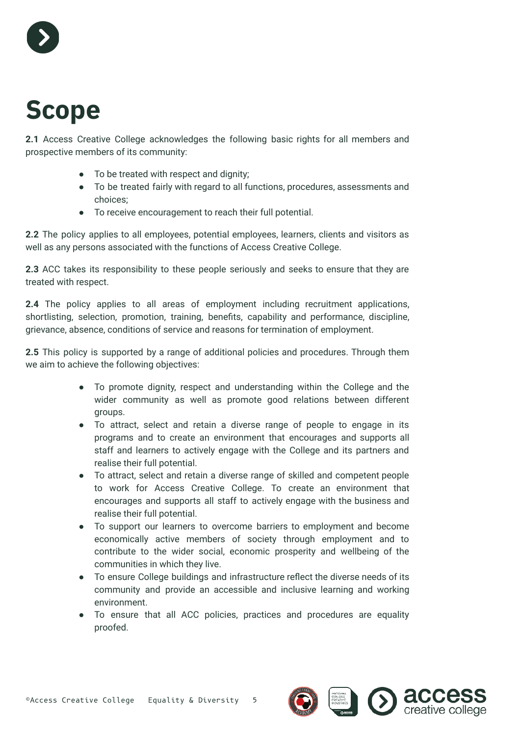

### **Scope**

**2.1** Access Creative College acknowledges the following basic rights for all members and prospective members of its community:

- To be treated with respect and dignity;
- To be treated fairly with regard to all functions, procedures, assessments and choices;
- To receive encouragement to reach their full potential.

**2.2** The policy applies to all employees, potential employees, learners, clients and visitors as well as any persons associated with the functions of Access Creative College.

**2.3** ACC takes its responsibility to these people seriously and seeks to ensure that they are treated with respect.

**2.4** The policy applies to all areas of employment including recruitment applications, shortlisting, selection, promotion, training, benefits, capability and performance, discipline, grievance, absence, conditions of service and reasons for termination of employment.

**2.5** This policy is supported by a range of additional policies and procedures. Through them we aim to achieve the following objectives:

- To promote dignity, respect and understanding within the College and the wider community as well as promote good relations between different groups.
- To attract, select and retain a diverse range of people to engage in its programs and to create an environment that encourages and supports all staff and learners to actively engage with the College and its partners and realise their full potential.
- To attract, select and retain a diverse range of skilled and competent people to work for Access Creative College. To create an environment that encourages and supports all staff to actively engage with the business and realise their full potential.
- To support our learners to overcome barriers to employment and become economically active members of society through employment and to contribute to the wider social, economic prosperity and wellbeing of the communities in which they live.
- To ensure College buildings and infrastructure reflect the diverse needs of its community and provide an accessible and inclusive learning and working environment.
- To ensure that all ACC policies, practices and procedures are equality proofed.

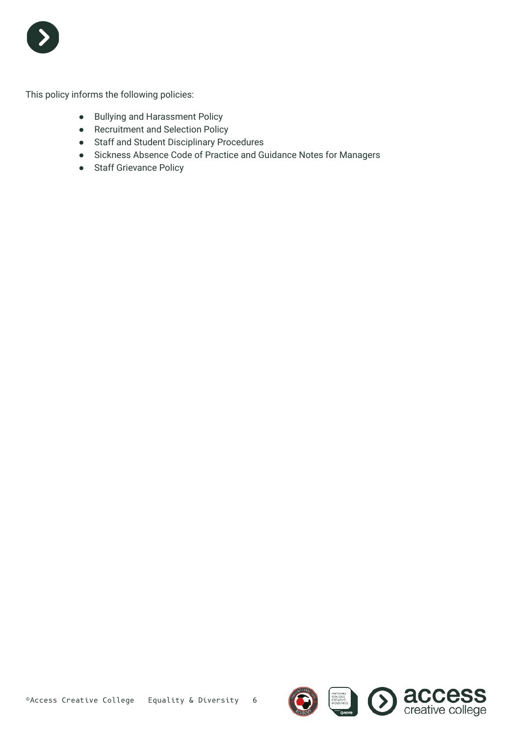

This policy informs the following policies:

- Bullying and Harassment Policy
- Recruitment and Selection Policy
- Staff and Student Disciplinary Procedures
- Sickness Absence Code of Practice and Guidance Notes for Managers
- Staff Grievance Policy

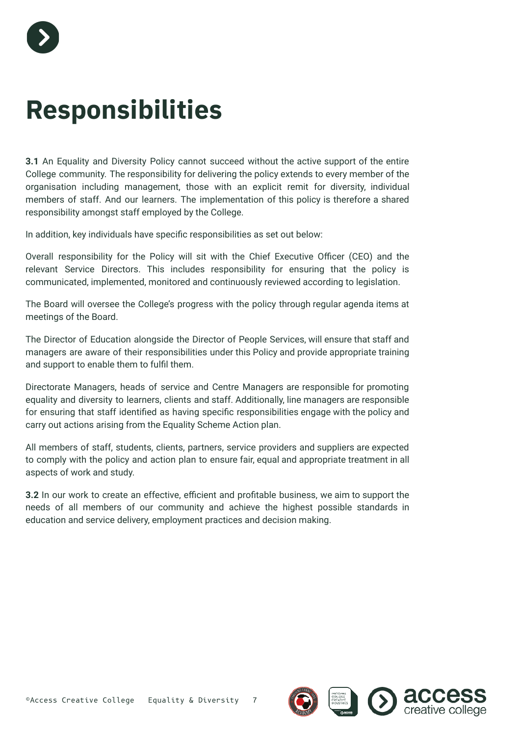

### **Responsibilities**

**3.1** An Equality and Diversity Policy cannot succeed without the active support of the entire College community. The responsibility for delivering the policy extends to every member of the organisation including management, those with an explicit remit for diversity, individual members of staff. And our learners. The implementation of this policy is therefore a shared responsibility amongst staff employed by the College.

In addition, key individuals have specific responsibilities as set out below:

Overall responsibility for the Policy will sit with the Chief Executive Officer (CEO) and the relevant Service Directors. This includes responsibility for ensuring that the policy is communicated, implemented, monitored and continuously reviewed according to legislation.

The Board will oversee the College's progress with the policy through regular agenda items at meetings of the Board.

The Director of Education alongside the Director of People Services, will ensure that staff and managers are aware of their responsibilities under this Policy and provide appropriate training and support to enable them to fulfil them.

Directorate Managers, heads of service and Centre Managers are responsible for promoting equality and diversity to learners, clients and staff. Additionally, line managers are responsible for ensuring that staff identified as having specific responsibilities engage with the policy and carry out actions arising from the Equality Scheme Action plan.

All members of staff, students, clients, partners, service providers and suppliers are expected to comply with the policy and action plan to ensure fair, equal and appropriate treatment in all aspects of work and study.

**3.2** In our work to create an effective, efficient and profitable business, we aim to support the needs of all members of our community and achieve the highest possible standards in education and service delivery, employment practices and decision making.

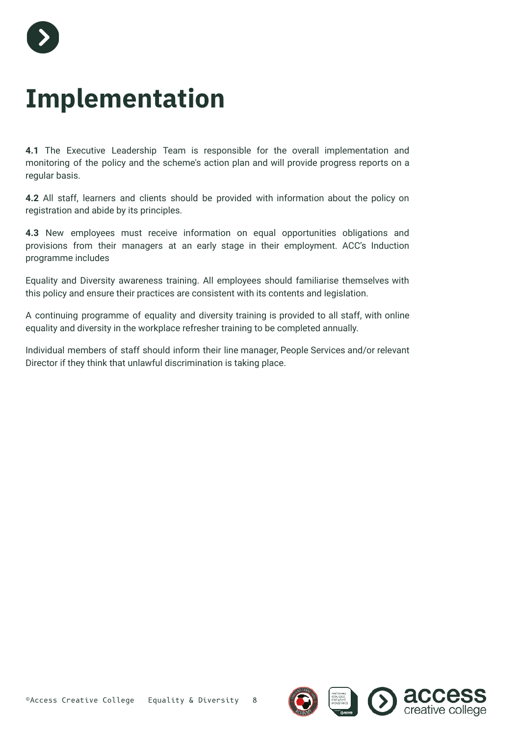

### **Implementation**

**4.1** The Executive Leadership Team is responsible for the overall implementation and monitoring of the policy and the scheme's action plan and will provide progress reports on a regular basis.

**4.2** All staff, learners and clients should be provided with information about the policy on registration and abide by its principles.

**4.3** New employees must receive information on equal opportunities obligations and provisions from their managers at an early stage in their employment. ACC's Induction programme includes

Equality and Diversity awareness training. All employees should familiarise themselves with this policy and ensure their practices are consistent with its contents and legislation.

A continuing programme of equality and diversity training is provided to all staff, with online equality and diversity in the workplace refresher training to be completed annually.

Individual members of staff should inform their line manager, People Services and/or relevant Director if they think that unlawful discrimination is taking place.

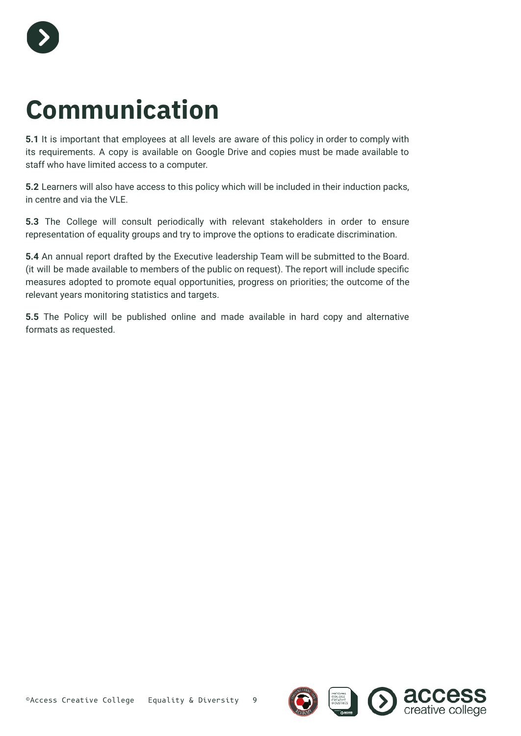

## **Communication**

**5.1** It is important that employees at all levels are aware of this policy in order to comply with its requirements. A copy is available on Google Drive and copies must be made available to staff who have limited access to a computer.

**5.2** Learners will also have access to this policy which will be included in their induction packs, in centre and via the VLE.

**5.3** The College will consult periodically with relevant stakeholders in order to ensure representation of equality groups and try to improve the options to eradicate discrimination.

**5.4** An annual report drafted by the Executive leadership Team will be submitted to the Board. (it will be made available to members of the public on request). The report will include specific measures adopted to promote equal opportunities, progress on priorities; the outcome of the relevant years monitoring statistics and targets.

**5.5** The Policy will be published online and made available in hard copy and alternative formats as requested.

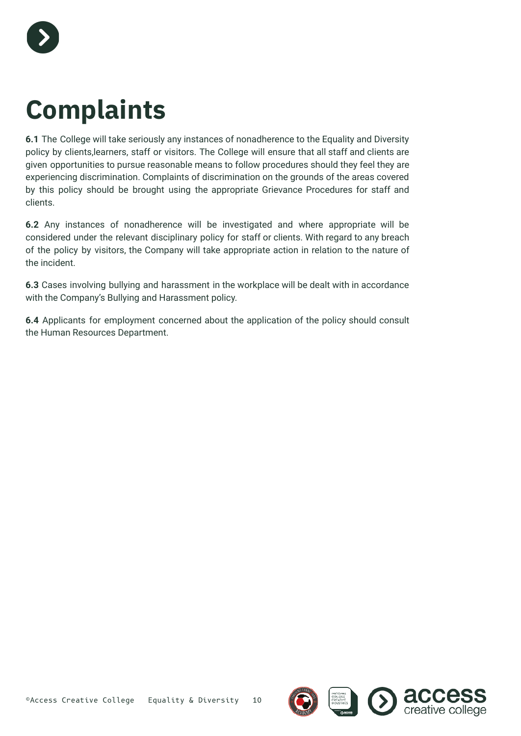

### **Complaints**

**6.1** The College will take seriously any instances of nonadherence to the Equality and Diversity policy by clients,learners, staff or visitors. The College will ensure that all staff and clients are given opportunities to pursue reasonable means to follow procedures should they feel they are experiencing discrimination. Complaints of discrimination on the grounds of the areas covered by this policy should be brought using the appropriate Grievance Procedures for staff and clients.

**6.2** Any instances of nonadherence will be investigated and where appropriate will be considered under the relevant disciplinary policy for staff or clients. With regard to any breach of the policy by visitors, the Company will take appropriate action in relation to the nature of the incident.

**6.3** Cases involving bullying and harassment in the workplace will be dealt with in accordance with the Company's Bullying and Harassment policy.

**6.4** Applicants for employment concerned about the application of the policy should consult the Human Resources Department.

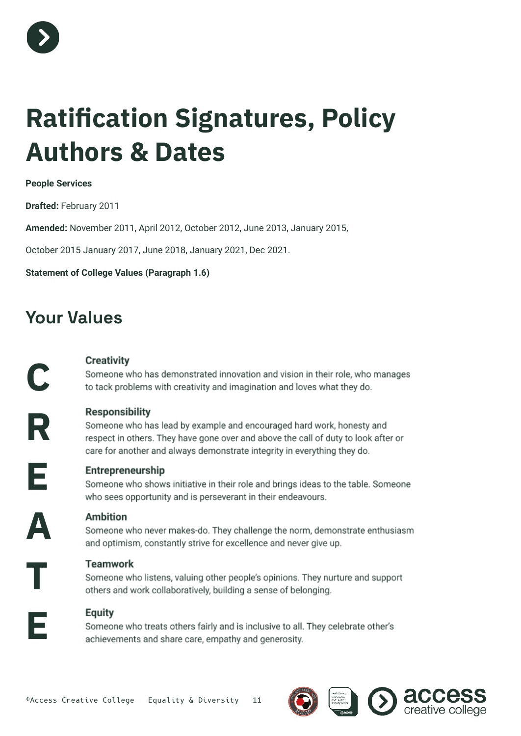

## **Ratification Signatures, Policy Authors & Dates**

#### **People Services**

**Drafted:** February 2011

**Amended:** November 2011, April 2012, October 2012, June 2013, January 2015,

October 2015 January 2017, June 2018, January 2021, Dec 2021.

#### **Statement of College Values (Paragraph 1.6)**

### **Your Values**

#### **Creativity**

Someone who has demonstrated innovation and vision in their role, who manages to tack problems with creativity and imagination and loves what they do.

**Responsibility** 

Someone who has lead by example and encouraged hard work, honesty and respect in others. They have gone over and above the call of duty to look after or care for another and always demonstrate integrity in everything they do.

**E**

**C**

**R**

#### Entrepreneurship

Someone who shows initiative in their role and brings ideas to the table. Someone who sees opportunity and is perseverant in their endeavours.

**A**

**T**

**E**

#### **Ambition**

Someone who never makes-do. They challenge the norm, demonstrate enthusiasm and optimism, constantly strive for excellence and never give up.

#### **Teamwork**

Someone who listens, valuing other people's opinions. They nurture and support others and work collaboratively, building a sense of belonging.

#### **Equity**

Someone who treats others fairly and is inclusive to all. They celebrate other's achievements and share care, empathy and generosity.



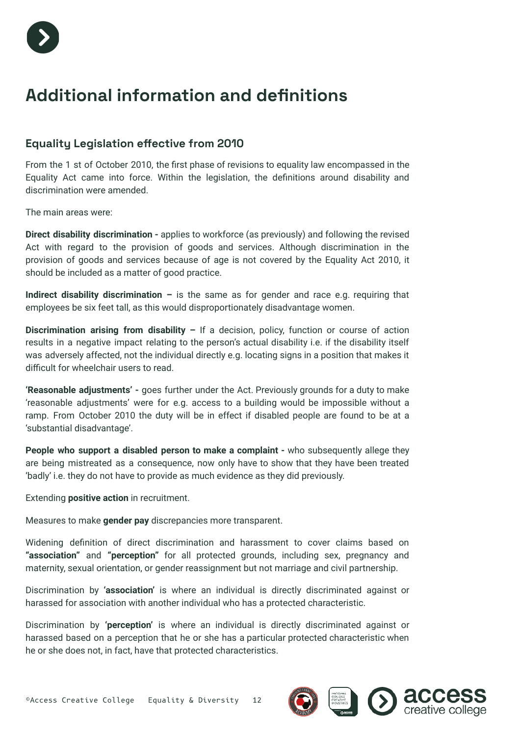

### **Additional information and definitions**

#### **Equality Legislation effective from 2010**

From the 1 st of October 2010, the first phase of revisions to equality law encompassed in the Equality Act came into force. Within the legislation, the definitions around disability and discrimination were amended.

The main areas were:

**Direct disability discrimination -** applies to workforce (as previously) and following the revised Act with regard to the provision of goods and services. Although discrimination in the provision of goods and services because of age is not covered by the Equality Act 2010, it should be included as a matter of good practice.

**Indirect disability discrimination –** is the same as for gender and race e.g. requiring that employees be six feet tall, as this would disproportionately disadvantage women.

**Discrimination arising from disability –** If a decision, policy, function or course of action results in a negative impact relating to the person's actual disability i.e. if the disability itself was adversely affected, not the individual directly e.g. locating signs in a position that makes it difficult for wheelchair users to read.

**'Reasonable adjustments' -** goes further under the Act. Previously grounds for a duty to make 'reasonable adjustments' were for e.g. access to a building would be impossible without a ramp. From October 2010 the duty will be in effect if disabled people are found to be at a 'substantial disadvantage'.

**People who support a disabled person to make a complaint -** who subsequently allege they are being mistreated as a consequence, now only have to show that they have been treated 'badly' i.e. they do not have to provide as much evidence as they did previously.

Extending **positive action** in recruitment.

Measures to make **gender pay** discrepancies more transparent.

Widening definition of direct discrimination and harassment to cover claims based on **"association"** and **"perception"** for all protected grounds, including sex, pregnancy and maternity, sexual orientation, or gender reassignment but not marriage and civil partnership.

Discrimination by **'association'** is where an individual is directly discriminated against or harassed for association with another individual who has a protected characteristic.

Discrimination by **'perception'** is where an individual is directly discriminated against or harassed based on a perception that he or she has a particular protected characteristic when he or she does not, in fact, have that protected characteristics.